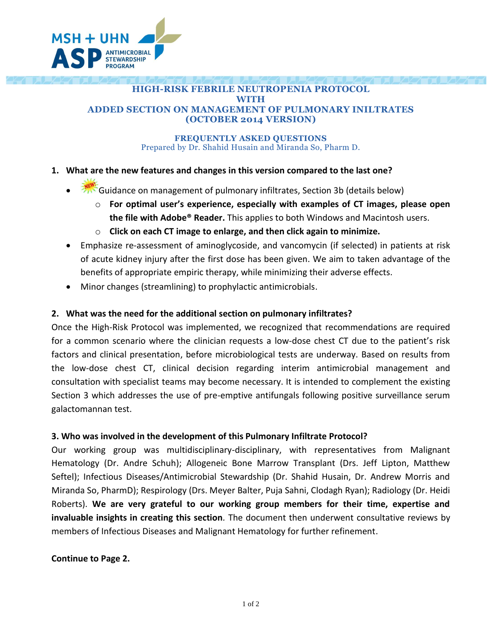

#### **HIGH-RISK FEBRILE NEUTROPENIA PROTOCOL WITH ADDED SECTION ON MANAGEMENT OF PULMONARY INILTRATES (OCTOBER 2014 VERSION)**

#### **FREQUENTLY ASKED QUESTIONS** Prepared by Dr. Shahid Husain and Miranda So, Pharm D.

# **1. What are the new features and changes in this version compared to the last one?**

- Guidance on management of pulmonary infiltrates, Section 3b (details below)
	- o **For optimal user's experience, especially with examples of CT images, please open the file with Adobe® Reader.** This applies to both Windows and Macintosh users.
	- o **Click on each CT image to enlarge, and then click again to minimize.**
	- Emphasize re-assessment of aminoglycoside, and vancomycin (if selected) in patients at risk of acute kidney injury after the first dose has been given. We aim to taken advantage of the benefits of appropriate empiric therapy, while minimizing their adverse effects.
	- Minor changes (streamlining) to prophylactic antimicrobials.

# **2. What was the need for the additional section on pulmonary infiltrates?**

Once the High-Risk Protocol was implemented, we recognized that recommendations are required for a common scenario where the clinician requests a low-dose chest CT due to the patient's risk factors and clinical presentation, before microbiological tests are underway. Based on results from the low-dose chest CT, clinical decision regarding interim antimicrobial management and consultation with specialist teams may become necessary. It is intended to complement the existing Section 3 which addresses the use of pre-emptive antifungals following positive surveillance serum galactomannan test.

## **3. Who was involved in the development of this Pulmonary Infiltrate Protocol?**

Our working group was multidisciplinary-disciplinary, with representatives from Malignant Hematology (Dr. Andre Schuh); Allogeneic Bone Marrow Transplant (Drs. Jeff Lipton, Matthew Seftel); Infectious Diseases/Antimicrobial Stewardship (Dr. Shahid Husain, Dr. Andrew Morris and Miranda So, PharmD); Respirology (Drs. Meyer Balter, Puja Sahni, Clodagh Ryan); Radiology (Dr. Heidi Roberts). **We are very grateful to our working group members for their time, expertise and invaluable insights in creating this section***.* The document then underwent consultative reviews by members of Infectious Diseases and Malignant Hematology for further refinement.

## **Continue to Page 2.**